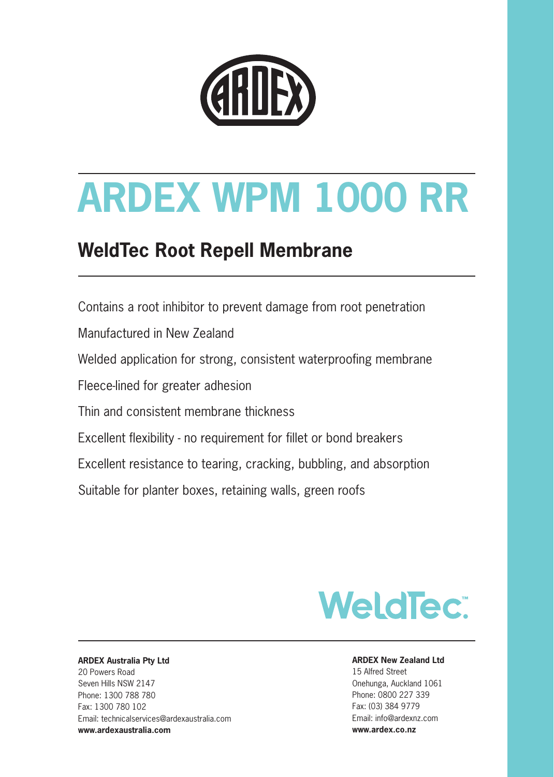

# **ARDEX WPM 1000 RR**

## **WeldTec Root Repell Membrane**

Contains a root inhibitor to prevent damage from root penetration Manufactured in New Zealand Welded application for strong, consistent waterproofing membrane Fleece-lined for greater adhesion Thin and consistent membrane thickness Excellent flexibility - no requirement for fillet or bond breakers Excellent resistance to tearing, cracking, bubbling, and absorption Suitable for planter boxes, retaining walls, green roofs



#### **ARDEX Australia Pty Ltd** 20 Powers Road Seven Hills NSW 2147 Phone: 1300 788 780 Fax: 1300 780 102 Email: technicalservices@ardexaustralia.com

**www.ardexaustralia.com** 

#### **ARDEX New Zealand Ltd**

15 Alfred Street Onehunga, Auckland 1061 Phone: 0800 227 339 Fax: (03) 384 9779 Email: info@ardexnz.com **www.ardex.co.nz**